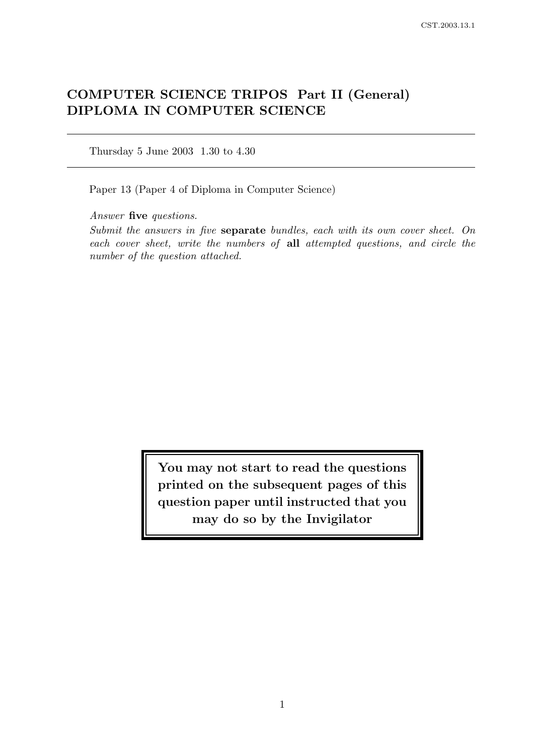# COMPUTER SCIENCE TRIPOS Part II (General) DIPLOMA IN COMPUTER SCIENCE

Thursday 5 June 2003 1.30 to 4.30

Paper 13 (Paper 4 of Diploma in Computer Science)

Answer five questions.

Submit the answers in five separate bundles, each with its own cover sheet. On each cover sheet, write the numbers of all attempted questions, and circle the number of the question attached.

> You may not start to read the questions printed on the subsequent pages of this question paper until instructed that you may do so by the Invigilator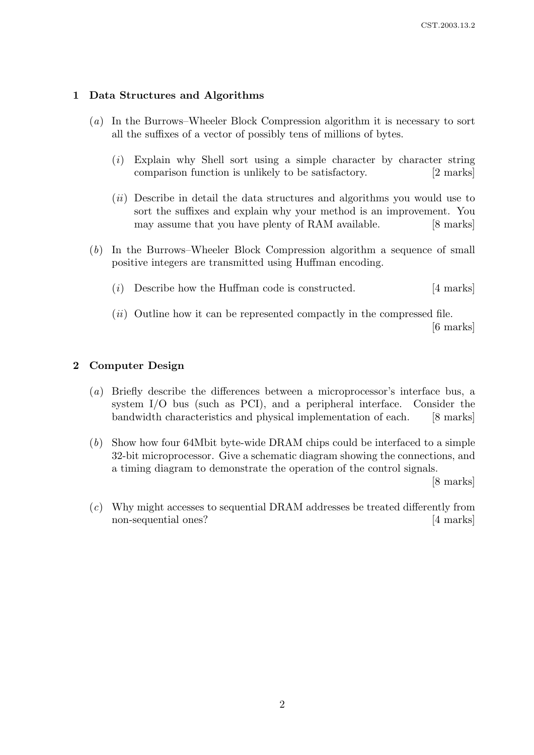## 1 Data Structures and Algorithms

- (a) In the Burrows–Wheeler Block Compression algorithm it is necessary to sort all the suffixes of a vector of possibly tens of millions of bytes.
	- (i) Explain why Shell sort using a simple character by character string comparison function is unlikely to be satisfactory. [2 marks]
	- (ii) Describe in detail the data structures and algorithms you would use to sort the suffixes and explain why your method is an improvement. You may assume that you have plenty of RAM available. [8 marks]
- (b) In the Burrows–Wheeler Block Compression algorithm a sequence of small positive integers are transmitted using Huffman encoding.
	- (i) Describe how the Huffman code is constructed.  $[4 \text{ marks}]$
	- $(ii)$  Outline how it can be represented compactly in the compressed file. [6 marks]

#### 2 Computer Design

- (a) Briefly describe the differences between a microprocessor's interface bus, a system I/O bus (such as PCI), and a peripheral interface. Consider the bandwidth characteristics and physical implementation of each. [8 marks]
- (b) Show how four 64Mbit byte-wide DRAM chips could be interfaced to a simple 32-bit microprocessor. Give a schematic diagram showing the connections, and a timing diagram to demonstrate the operation of the control signals.

[8 marks]

(c) Why might accesses to sequential DRAM addresses be treated differently from non-sequential ones? [4 marks]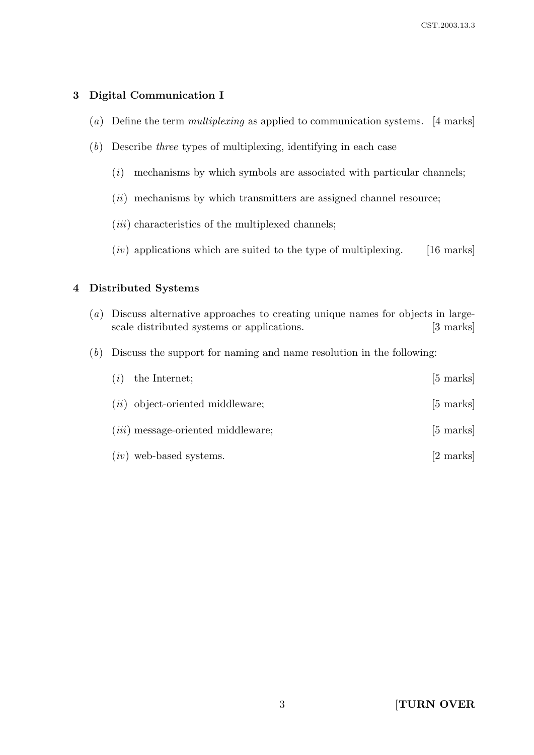# 3 Digital Communication I

- (a) Define the term *multiplexing* as applied to communication systems. [4 marks]
- (b) Describe three types of multiplexing, identifying in each case
	- $(i)$  mechanisms by which symbols are associated with particular channels;
	- $(ii)$  mechanisms by which transmitters are assigned channel resource;
	- $(iii)$  characteristics of the multiplexed channels;
	- $(iv)$  applications which are suited to the type of multiplexing. [16 marks]

# 4 Distributed Systems

- (a) Discuss alternative approaches to creating unique names for objects in largescale distributed systems or applications. [3 marks]
- (b) Discuss the support for naming and name resolution in the following:

| (i) | the Internet;                             | $[5 \text{ marks}]$ |
|-----|-------------------------------------------|---------------------|
|     | $(ii)$ object-oriented middleware;        | $[5 \text{ marks}]$ |
|     | <i>(iii)</i> message-oriented middleware; | $[5 \text{ marks}]$ |
|     | $(iv)$ web-based systems.                 | [2 marks]           |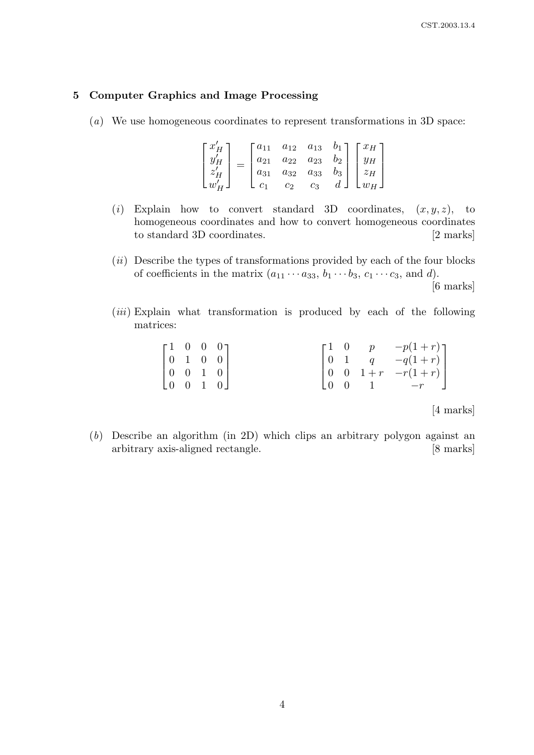## 5 Computer Graphics and Image Processing

(a) We use homogeneous coordinates to represent transformations in 3D space:

$$
\begin{bmatrix} x'_H \\ y'_H \\ z'_H \\ w'_H \end{bmatrix} = \begin{bmatrix} a_{11} & a_{12} & a_{13} & b_1 \\ a_{21} & a_{22} & a_{23} & b_2 \\ a_{31} & a_{32} & a_{33} & b_3 \\ c_1 & c_2 & c_3 & d \end{bmatrix} \begin{bmatrix} x_H \\ y_H \\ z_H \\ w_H \end{bmatrix}
$$

- (i) Explain how to convert standard 3D coordinates,  $(x, y, z)$ , to homogeneous coordinates and how to convert homogeneous coordinates to standard 3D coordinates. [2 marks]
- $(ii)$  Describe the types of transformations provided by each of the four blocks of coefficients in the matrix  $(a_{11} \cdots a_{33}, b_1 \cdots b_3, c_1 \cdots c_3,$  and d). [6 marks]
- $(iii)$  Explain what transformation is produced by each of the following matrices:

| $\begin{bmatrix} 1 & 0 & 0 & 0 \\ 0 & 1 & 0 & 0 \\ 0 & 0 & 1 & 0 \\ 0 & 0 & 1 & 0 \end{bmatrix}$ |  |  |  | $\begin{bmatrix} 1 & 0 & p & -p(1+r) \\ 0 & 1 & q & -q(1+r) \\ 0 & 0 & 1+r & -r(1+r) \end{bmatrix}$ |
|--------------------------------------------------------------------------------------------------|--|--|--|-----------------------------------------------------------------------------------------------------|
|                                                                                                  |  |  |  | $\begin{bmatrix} 0 & 0 & 1 & -r & \end{bmatrix}$                                                    |
|                                                                                                  |  |  |  |                                                                                                     |

[4 marks]

(b) Describe an algorithm (in 2D) which clips an arbitrary polygon against an arbitrary axis-aligned rectangle. [8 marks]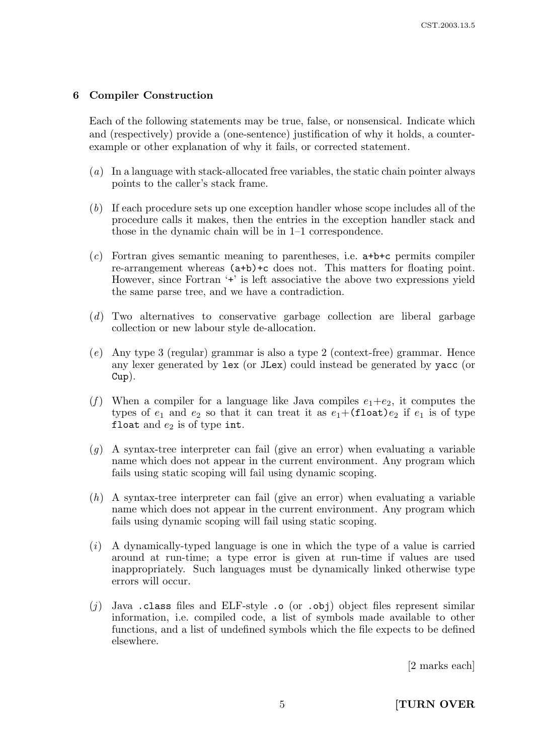# 6 Compiler Construction

Each of the following statements may be true, false, or nonsensical. Indicate which and (respectively) provide a (one-sentence) justification of why it holds, a counterexample or other explanation of why it fails, or corrected statement.

- (a) In a language with stack-allocated free variables, the static chain pointer always points to the caller's stack frame.
- (b) If each procedure sets up one exception handler whose scope includes all of the procedure calls it makes, then the entries in the exception handler stack and those in the dynamic chain will be in 1–1 correspondence.
- (c) Fortran gives semantic meaning to parentheses, i.e. a+b+c permits compiler re-arrangement whereas (a+b)+c does not. This matters for floating point. However, since Fortran '+' is left associative the above two expressions yield the same parse tree, and we have a contradiction.
- (d) Two alternatives to conservative garbage collection are liberal garbage collection or new labour style de-allocation.
- (e) Any type 3 (regular) grammar is also a type 2 (context-free) grammar. Hence any lexer generated by lex (or JLex) could instead be generated by yacc (or Cup).
- (f) When a compiler for a language like Java compiles  $e_1+e_2$ , it computes the types of  $e_1$  and  $e_2$  so that it can treat it as  $e_1+($ float) $e_2$  if  $e_1$  is of type float and  $e_2$  is of type int.
- $(q)$  A syntax-tree interpreter can fail (give an error) when evaluating a variable name which does not appear in the current environment. Any program which fails using static scoping will fail using dynamic scoping.
- (h) A syntax-tree interpreter can fail (give an error) when evaluating a variable name which does not appear in the current environment. Any program which fails using dynamic scoping will fail using static scoping.
- (i) A dynamically-typed language is one in which the type of a value is carried around at run-time; a type error is given at run-time if values are used inappropriately. Such languages must be dynamically linked otherwise type errors will occur.
- (i) Java .class files and ELF-style .o (or .obj) object files represent similar information, i.e. compiled code, a list of symbols made available to other functions, and a list of undefined symbols which the file expects to be defined elsewhere.

[2 marks each]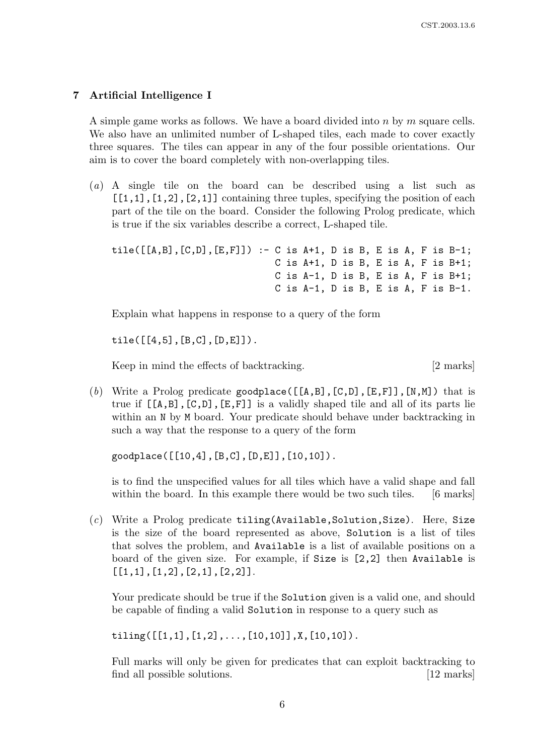# 7 Artificial Intelligence I

A simple game works as follows. We have a board divided into n by m square cells. We also have an unlimited number of L-shaped tiles, each made to cover exactly three squares. The tiles can appear in any of the four possible orientations. Our aim is to cover the board completely with non-overlapping tiles.

(a) A single tile on the board can be described using a list such as  $[1,1]$ ,  $[1,2]$ ,  $[2,1]$ ] containing three tuples, specifying the position of each part of the tile on the board. Consider the following Prolog predicate, which is true if the six variables describe a correct, L-shaped tile.

```
tile([[A,B],[C,D],[E,F]]) :- C is A+1, D is B, E is A, F is B-1;
                 C is A+1, D is B, E is A, F is B+1;
                 C is A-1, D is B, E is A, F is B+1;
                 C is A-1, D is B, E is A, F is B-1.
```
Explain what happens in response to a query of the form

 $tile([[4,5],[B,C],[D,E]]).$ 

Keep in mind the effects of backtracking. [2 marks]

(b) Write a Prolog predicate goodplace( $[[A,B],[C,D],[E,F]]$ , [N,M]) that is true if  $[[A,B],[C,D],[E,F]]$  is a validly shaped tile and all of its parts lie within an N by M board. Your predicate should behave under backtracking in such a way that the response to a query of the form

goodplace([[10,4],[B,C],[D,E]],[10,10]).

is to find the unspecified values for all tiles which have a valid shape and fall within the board. In this example there would be two such tiles. [6 marks]

 $(c)$  Write a Prolog predicate tiling (Available, Solution, Size). Here, Size is the size of the board represented as above, Solution is a list of tiles that solves the problem, and Available is a list of available positions on a board of the given size. For example, if Size is [2,2] then Available is  $[1,1], [1,2], [2,1], [2,2]$ .

Your predicate should be true if the Solution given is a valid one, and should be capable of finding a valid Solution in response to a query such as

tiling( $[[1,1],[1,2],\ldots,[10,10]]$ ,X, $[10,10]$ ).

Full marks will only be given for predicates that can exploit backtracking to find all possible solutions. [12 marks]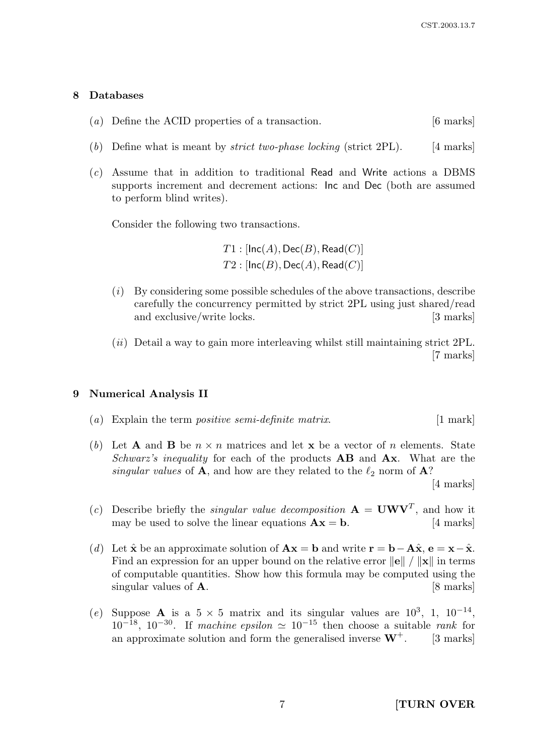#### 8 Databases

- (a) Define the ACID properties of a transaction. [6 marks]
- (b) Define what is meant by *strict two-phase locking* (strict 2PL). [4 marks]
- (c) Assume that in addition to traditional Read and Write actions a DBMS supports increment and decrement actions: Inc and Dec (both are assumed to perform blind writes).

Consider the following two transactions.

 $T1:$  [Inc(A), Dec(B), Read(C)]  $T2 : [Inc(B), Dec(A), Read(C)]$ 

- $(i)$  By considering some possible schedules of the above transactions, describe carefully the concurrency permitted by strict 2PL using just shared/read and exclusive/write locks. [3 marks]
- $(ii)$  Detail a way to gain more interleaving whilst still maintaining strict 2PL. [7 marks]

#### 9 Numerical Analysis II

- (a) Explain the term *positive semi-definite matrix*.  $[1 \text{ mark}]$
- (b) Let **A** and **B** be  $n \times n$  matrices and let **x** be a vector of n elements. State Schwarz's inequality for each of the products  $\mathbf{AB}$  and  $\mathbf{Ax}$ . What are the singular values of **A**, and how are they related to the  $\ell_2$  norm of **A**?

[4 marks]

- (c) Describe briefly the *singular value decomposition*  $\mathbf{A} = \mathbf{U}\mathbf{W}\mathbf{V}^T$ , and how it may be used to solve the linear equations  $\mathbf{A}\mathbf{x} = \mathbf{b}$ . [4 marks]
- (d) Let  $\hat{\mathbf{x}}$  be an approximate solution of  $\mathbf{A}\mathbf{x} = \mathbf{b}$  and write  $\mathbf{r} = \mathbf{b} \mathbf{A}\hat{\mathbf{x}}, \mathbf{e} = \mathbf{x} \hat{\mathbf{x}}$ . Find an expression for an upper bound on the relative error  $\|\mathbf{e}\| / \|\mathbf{x}\|$  in terms of computable quantities. Show how this formula may be computed using the singular values of  $\bf{A}$ . [8 marks]
- (e) Suppose **A** is a  $5 \times 5$  matrix and its singular values are  $10^3$ , 1,  $10^{-14}$ ,  $10^{-18}$ ,  $10^{-30}$ . If machine epsilon  $\simeq 10^{-15}$  then choose a suitable rank for an approximate solution and form the generalised inverse  $W^+$ . [3 marks]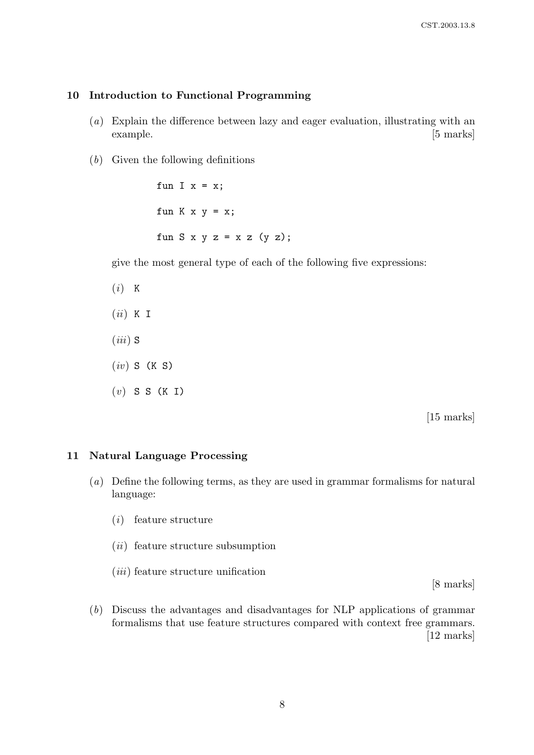# 10 Introduction to Functional Programming

- (a) Explain the difference between lazy and eager evaluation, illustrating with an example. [5 marks]
- (b) Given the following definitions

fun I  $x = x$ ; fun  $K$   $x$   $y = x$ ; fun  $S \times y = x \times (y \times)$ ;

give the most general type of each of the following five expressions:

 $(i)$  K  $(ii)$  K I  $(iii)$  S  $(iv)$  S (K S)  $(v)$  S S (K I)

[15 marks]

## 11 Natural Language Processing

- (a) Define the following terms, as they are used in grammar formalisms for natural language:
	- (i) feature structure
	- (ii) feature structure subsumption
	- $(iii)$  feature structure unification

[8 marks]

(b) Discuss the advantages and disadvantages for NLP applications of grammar formalisms that use feature structures compared with context free grammars. [12 marks]